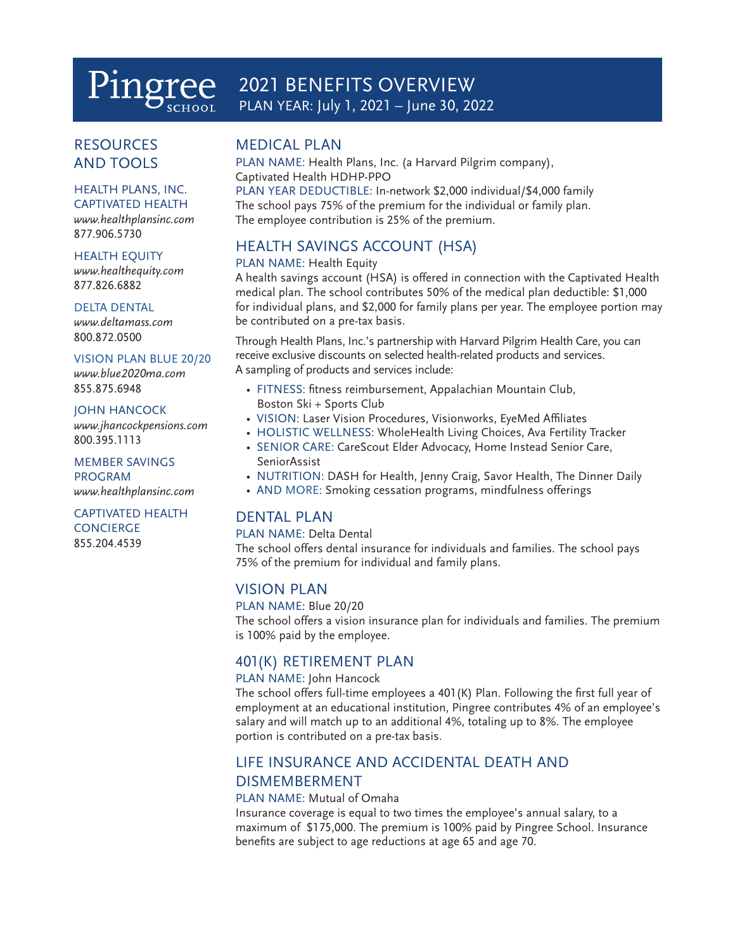# Pingree 2021 BENEFITS OVERVIEW<br>PLAN YEAR: July 1, 2021 – June 30, 2022

# **RESOURCES** AND TOOLS

### HEALTH PLANS, INC.

CAPTIVATED HEALTH *www.healthplansinc.com*  877.906.5730

#### HEALTH EQUITY

*www.healthequity.com*  877.826.6882

#### DELTA DENTAL

*www.deltamass.com*  800.872.0500

#### VISION PLAN BLUE 20/20

*www.blue2020ma.com*  855.875.6948

#### JOHN HANCOCK

*www.jhancockpensions.com*  800.395.1113

#### MEMBER SAVINGS PROGRAM

*www.healthplansinc.com*

#### CAPTIVATED HEALTH **CONCIERGE**

855.204.4539

### MEDICAL PLAN

PLAN NAME: Health Plans, Inc. (a Harvard Pilgrim company), Captivated Health HDHP-PPO PLAN YEAR DEDUCTIBLE: In-network \$2,000 individual/\$4,000 family

The school pays 75% of the premium for the individual or family plan. The employee contribution is 25% of the premium.

# HEALTH SAVINGS ACCOUNT (HSA)

### PLAN NAME: Health Equity

A health savings account (HSA) is offered in connection with the Captivated Health medical plan. The school contributes 50% of the medical plan deductible: \$1,000 for individual plans, and \$2,000 for family plans per year. The employee portion may be contributed on a pre-tax basis.

Through Health Plans, Inc.'s partnership with Harvard Pilgrim Health Care, you can receive exclusive discounts on selected health-related products and services. A sampling of products and services include:

- FITNESS: fitness reimbursement, Appalachian Mountain Club, Boston Ski + Sports Club
- VISION: Laser Vision Procedures, Visionworks, EyeMed Affiliates
- HOLISTIC WELLNESS: WholeHealth Living Choices, Ava Fertility Tracker
- SENIOR CARE: CareScout Elder Advocacy, Home Instead Senior Care, SeniorAssist
- NUTRITION: DASH for Health, Jenny Craig, Savor Health, The Dinner Daily
- AND MORE: Smoking cessation programs, mindfulness offerings

### DENTAL PLAN

PLAN NAME: Delta Dental

The school offers dental insurance for individuals and families. The school pays 75% of the premium for individual and family plans.

### VISION PLAN

#### PLAN NAME: Blue 20/20

The school offers a vision insurance plan for individuals and families. The premium is 100% paid by the employee.

### 401(K) RETIREMENT PLAN

### PLAN NAME: John Hancock

The school offers full-time employees a 401(K) Plan. Following the first full year of employment at an educational institution, Pingree contributes 4% of an employee's salary and will match up to an additional 4%, totaling up to 8%. The employee portion is contributed on a pre-tax basis.

# LIFE INSURANCE AND ACCIDENTAL DEATH AND DISMEMBERMENT

### PLAN NAME: Mutual of Omaha

Insurance coverage is equal to two times the employee's annual salary, to a maximum of \$175,000. The premium is 100% paid by Pingree School. Insurance benefits are subject to age reductions at age 65 and age 70.